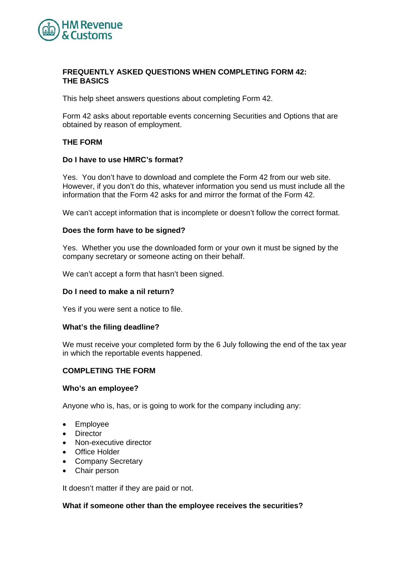

## **FREQUENTLY ASKED QUESTIONS WHEN COMPLETING FORM 42: THE BASICS**

This help sheet answers questions about completing Form 42.

Form 42 asks about reportable events concerning Securities and Options that are obtained by reason of employment.

## **THE FORM**

### **Do I have to use HMRC's format?**

Yes. You don't have to download and complete the Form 42 from our web site. However, if you don't do this, whatever information you send us must include all the information that the Form 42 asks for and mirror the format of the Form 42.

We can't accept information that is incomplete or doesn't follow the correct format.

### **Does the form have to be signed?**

Yes. Whether you use the downloaded form or your own it must be signed by the company secretary or someone acting on their behalf.

We can't accept a form that hasn't been signed.

### **Do I need to make a nil return?**

Yes if you were sent a notice to file.

#### **What's the filing deadline?**

We must receive your completed form by the 6 July following the end of the tax year in which the reportable events happened.

### **COMPLETING THE FORM**

#### **Who's an employee?**

Anyone who is, has, or is going to work for the company including any:

- Employee
- Director
- Non-executive director
- Office Holder
- Company Secretary
- Chair person

It doesn't matter if they are paid or not.

#### **What if someone other than the employee receives the securities?**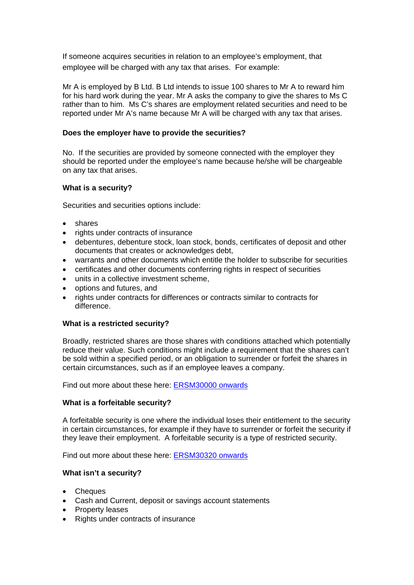If someone acquires securities in relation to an employee's employment, that employee will be charged with any tax that arises. For example:

Mr A is employed by B Ltd. B Ltd intends to issue 100 shares to Mr A to reward him for his hard work during the year. Mr A asks the company to give the shares to Ms C rather than to him. Ms C's shares are employment related securities and need to be reported under Mr A's name because Mr A will be charged with any tax that arises.

## **Does the employer have to provide the securities?**

No. If the securities are provided by someone connected with the employer they should be reported under the employee's name because he/she will be chargeable on any tax that arises.

# **What is a security?**

Securities and securities options include:

- shares
- rights under contracts of insurance
- debentures, debenture stock, loan stock, bonds, certificates of deposit and other documents that creates or acknowledges debt,
- warrants and other documents which entitle the holder to subscribe for securities
- certificates and other documents conferring rights in respect of securities
- units in a collective investment scheme,
- options and futures, and
- rights under contracts for differences or contracts similar to contracts for difference.

# **What is a restricted security?**

Broadly, restricted shares are those shares with conditions attached which potentially reduce their value. Such conditions might include a requirement that the shares can't be sold within a specified period, or an obligation to surrender or forfeit the shares in certain circumstances, such as if an employee leaves a company.

Find out more about these here: [ERSM30000 onwards](http://www.hmrc.gov.uk/manuals/ersmmanual/ERSM30000.htm) 

# **What is a forfeitable security?**

A forfeitable security is one where the individual loses their entitlement to the security in certain circumstances, for example if they have to surrender or forfeit the security if they leave their employment. A forfeitable security is a type of restricted security.

Find out more about these here: [ERSM30320 onwards](http://www.hmrc.gov.uk/manuals/ersmmanual/ERSM30320.htm)

## **What isn't a security?**

- Cheques
- Cash and Current, deposit or savings account statements
- Property leases
- Rights under contracts of insurance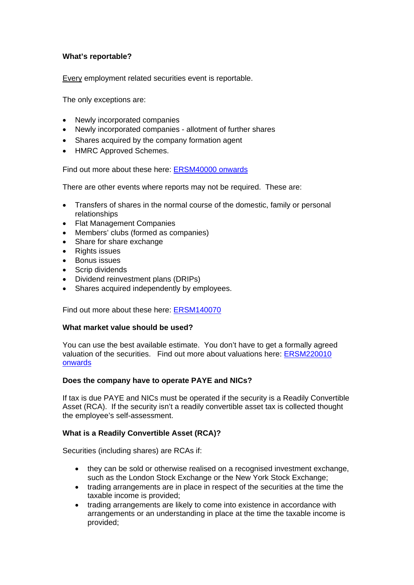# **What's reportable?**

Every employment related securities event is reportable.

The only exceptions are:

- Newly incorporated companies
- Newly incorporated companies allotment of further shares
- Shares acquired by the company formation agent
- HMRC Approved Schemes.

Find out more about these here: [ERSM40000 onwards](http://www.hmrc.gov.uk/manuals/ersmmanual/ERSM140000.htm)

There are other events where reports may not be required. These are:

- Transfers of shares in the normal course of the domestic, family or personal relationships
- Flat Management Companies
- Members' clubs (formed as companies)
- Share for share exchange
- Rights issues
- Bonus issues
- Scrip dividends
- Dividend reinvestment plans (DRIPs)
- Shares acquired independently by employees.

Find out more about these here: [ERSM140070](http://www.hmrc.gov.uk/manuals/ersmmanual/ERSM140070.htm)

#### **What market value should be used?**

You can use the best available estimate. You don't have to get a formally agreed valuation of the securities. Find out more about valuations here: [ERSM220010](http://www.hmrc.gov.uk/manuals/ersmmanual/ERSM220000.htm)  [onwards](http://www.hmrc.gov.uk/manuals/ersmmanual/ERSM220000.htm) 

## **Does the company have to operate PAYE and NICs?**

If tax is due PAYE and NICs must be operated if the security is a Readily Convertible Asset (RCA). If the security isn't a readily convertible asset tax is collected thought the employee's self-assessment.

#### **What is a Readily Convertible Asset (RCA)?**

Securities (including shares) are RCAs if:

- they can be sold or otherwise realised on a recognised investment exchange, such as the London Stock Exchange or the New York Stock Exchange;
- trading arrangements are in place in respect of the securities at the time the taxable income is provided;
- trading arrangements are likely to come into existence in accordance with arrangements or an understanding in place at the time the taxable income is provided;